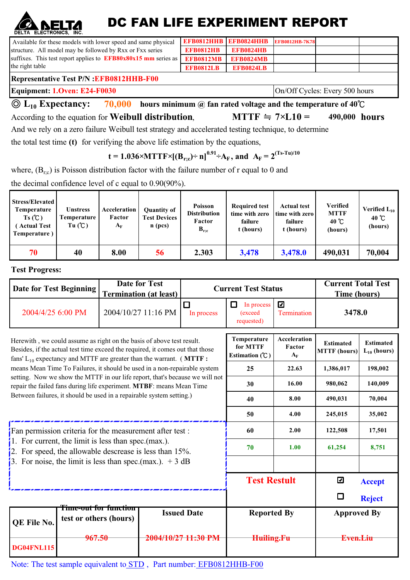## DC FAN LIFE EXPERIMENT REPORT

| DELIA ELECIRONICS, INC.                                                                                 |                                         |                                       |                                                        |                                                       |                                                                |                                                              |                                                              |                                       |  |  |
|---------------------------------------------------------------------------------------------------------|-----------------------------------------|---------------------------------------|--------------------------------------------------------|-------------------------------------------------------|----------------------------------------------------------------|--------------------------------------------------------------|--------------------------------------------------------------|---------------------------------------|--|--|
| Available for these models with lower speed and same physical                                           |                                         |                                       |                                                        | <b>EFB0812HHB</b>                                     | <b>EFB0824HHB</b>                                              | <b>EFB0812HB-7K78</b>                                        |                                                              |                                       |  |  |
| structure. All model may be followed by Rxx or Fxx series                                               |                                         |                                       |                                                        | <b>EFB0812HB</b>                                      | <b>EFB0824HB</b>                                               |                                                              |                                                              |                                       |  |  |
| suffixes. This test report applies to $EFB80x80x15$ mm series as                                        |                                         |                                       |                                                        | <b>EFB0812MB</b>                                      | <b>EFB0824MB</b>                                               |                                                              |                                                              |                                       |  |  |
| the right table                                                                                         |                                         |                                       |                                                        | <b>EFB0812LB</b>                                      | <b>EFB0824LB</b>                                               |                                                              |                                                              |                                       |  |  |
| <b>Representative Test P/N : EFB0812HHB-F00</b>                                                         |                                         |                                       |                                                        |                                                       |                                                                |                                                              |                                                              |                                       |  |  |
| Equipment: 1.Oven: E24-F0030                                                                            |                                         |                                       |                                                        |                                                       |                                                                |                                                              | On/Off Cycles: Every 500 hours                               |                                       |  |  |
| $\textcircled{1}_{10}$ Expectancy: 70,000 hours minimum @ fan rated voltage and the temperature of 40°C |                                         |                                       |                                                        |                                                       |                                                                |                                                              |                                                              |                                       |  |  |
| $MTTF = 7\times L10 =$<br>According to the equation for <b>Weibull distribution</b> ,                   |                                         |                                       |                                                        |                                                       |                                                                |                                                              | 490,000 hours                                                |                                       |  |  |
| And we rely on a zero failure Weibull test strategy and accelerated testing technique, to determine     |                                         |                                       |                                                        |                                                       |                                                                |                                                              |                                                              |                                       |  |  |
| the total test time (t) for verifying the above life estimation by the equations,                       |                                         |                                       |                                                        |                                                       |                                                                |                                                              |                                                              |                                       |  |  |
| $t = 1.036 \times MTTF \times [(B_{rc}) \div n]^{0.91} \div A_F$ , and $A_F = 2^{(Ts-Tu)/10}$           |                                         |                                       |                                                        |                                                       |                                                                |                                                              |                                                              |                                       |  |  |
| where, $(B_{rc})$ is Poisson distribution factor with the failure number of r equal to 0 and            |                                         |                                       |                                                        |                                                       |                                                                |                                                              |                                                              |                                       |  |  |
| the decimal confidence level of c equal to $0.90(90\%)$ .                                               |                                         |                                       |                                                        |                                                       |                                                                |                                                              |                                                              |                                       |  |  |
| <b>Stress/Elevated</b><br>Temperature<br>$Ts(\mathcal{C})$<br>(Actual Test<br>Temperature)              | <b>Unstress</b><br>Temperature<br>Tu(C) | Acceleration<br>Factor<br>$A_{\rm F}$ | <b>Quantity of</b><br><b>Test Devices</b><br>$n$ (pcs) | Poisson<br><b>Distribution</b><br>Factor<br>$B_{r,c}$ | <b>Required test</b><br>time with zero<br>failure<br>t (hours) | <b>Actual test</b><br>time with zero<br>failure<br>t (hours) | <b>Verified</b><br><b>MTTF</b><br>40 $^{\circ}$ C<br>(hours) | Verified $L_{10}$<br>40 °C<br>(hours) |  |  |

**70 40 8.00 56 2.303 3,478 3,478.0 490,031 70,004**

**Test Progress:**

**A NELTA** 

|                                                                                                                                                                                                                                   | <b>Date for Test</b><br><b>Date for Test Beginning</b><br><b>Termination (at least)</b> |                                                                                                                     |                                             |                                       | <b>Current Test Status</b>               |                                        | <b>Current Total Test</b><br><b>Time (hours)</b> |               |  |
|-----------------------------------------------------------------------------------------------------------------------------------------------------------------------------------------------------------------------------------|-----------------------------------------------------------------------------------------|---------------------------------------------------------------------------------------------------------------------|---------------------------------------------|---------------------------------------|------------------------------------------|----------------------------------------|--------------------------------------------------|---------------|--|
| 2004/4/25 6:00 PM                                                                                                                                                                                                                 |                                                                                         |                                                                                                                     | 2004/10/27 11:16 PM                         | □<br>In process                       | □<br>In process<br>(exceed<br>requested) | $\overline{\mathbf{z}}$<br>Termination | 3478.0                                           |               |  |
| Herewith, we could assume as right on the basis of above test result.<br>Besides, if the actual test time exceed the required, it comes out that those<br>fans' $L_{10}$ expectancy and MTTF are greater than the warrant. (MTTF: |                                                                                         |                                                                                                                     | Temperature<br>for MTTF<br>Estimation $(C)$ | Acceleration<br>Factor<br>$A_{\rm F}$ | <b>Estimated</b><br><b>MTTF</b> (hours)  | <b>Estimated</b><br>$L_{10}$ (hours)   |                                                  |               |  |
| means Mean Time To Failures, it should be used in a non-repairable system                                                                                                                                                         |                                                                                         |                                                                                                                     | 25                                          | 22.63                                 | 1,386,017                                | 198,002                                |                                                  |               |  |
| setting. Now we show the MTTF in our life report, that's because we will not<br>repair the failed fans during life experiment. MTBF: means Mean Time                                                                              |                                                                                         |                                                                                                                     | 30                                          | 16.00                                 | 980,062                                  | 140,009                                |                                                  |               |  |
| Between failures, it should be used in a repairable system setting.)                                                                                                                                                              |                                                                                         |                                                                                                                     | 40                                          | 8.00                                  | 490,031                                  | 70,004                                 |                                                  |               |  |
|                                                                                                                                                                                                                                   |                                                                                         | .<br>Andre de son a son a compara a son a compara a son a son a son a son a son a son a compara a son a son a son a | 50                                          | 4.00                                  | 245,015                                  | 35,002                                 |                                                  |               |  |
| Fan permission criteria for the measurement after test:                                                                                                                                                                           |                                                                                         |                                                                                                                     | 60                                          | 2.00                                  | 122,508                                  | 17,501                                 |                                                  |               |  |
| 1. For current, the limit is less than spec.(max.).<br>$\frac{1}{2}$ . For speed, the allowable descrease is less than 15%.                                                                                                       |                                                                                         |                                                                                                                     | 70                                          | 1.00                                  | 61,254                                   | 8,751                                  |                                                  |               |  |
| 3. For noise, the limit is less than spec.(max.). $+3 dB$                                                                                                                                                                         |                                                                                         |                                                                                                                     |                                             |                                       |                                          |                                        |                                                  |               |  |
|                                                                                                                                                                                                                                   |                                                                                         |                                                                                                                     |                                             |                                       | <b>Test Restult</b>                      |                                        | ☑                                                | <b>Accept</b> |  |
|                                                                                                                                                                                                                                   |                                                                                         |                                                                                                                     |                                             |                                       |                                          |                                        | □                                                | <b>Reject</b> |  |
| QE File No.                                                                                                                                                                                                                       |                                                                                         | <del>Time-out for function</del><br>test or others (hours)                                                          |                                             | <b>Issued Date</b>                    | <b>Reported By</b>                       |                                        | <b>Approved By</b><br><del>Even.Liu</del>        |               |  |
| <b>DG04FNL115</b>                                                                                                                                                                                                                 | 967.50                                                                                  |                                                                                                                     |                                             | <del>2004/10/27 11:30 PM</del>        | Huiling.Fu                               |                                        |                                                  |               |  |

Note: The test sample equivalent to STD, Part number: EFB0812HHB-F00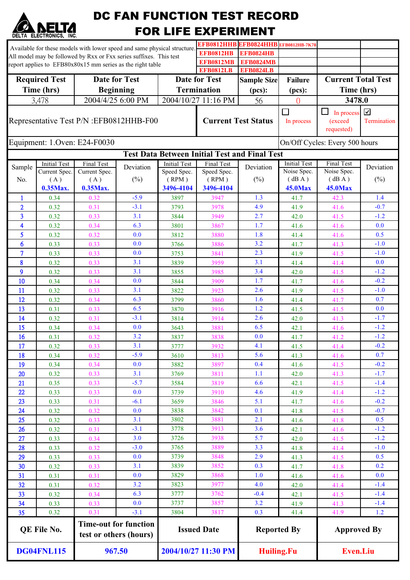| <b>ELECTRONICS.</b><br><b>Required Test</b><br>Time (hrs)<br>3,478 | Initial Test<br>Current Spec. | <b>Date for Test</b>                                             | Available for these models with lower speed and same physical structure<br>All model may be followed by Rxx or Fxx series suffixes. This test<br>report applies to EFB80x80x15 mm series as the right table<br><b>Beginning</b><br>2004/4/25 6:00 PM |                                           | <b>FOR LIFE EXPERIMENT</b><br><b>EFB0812HB</b><br><b>EFB0812MB</b><br><b>EFB0812LB</b><br>Date for Test<br><b>Termination</b><br>2004/10/27 11:16 PM<br><b>Current Test Status</b> | EFB0812HHB EFB0824HHB EFB0812HB-7K78<br><b>EFB0824HB</b><br><b>EFB0824MB</b><br><b>EFB0824LB</b><br><b>Sample Size</b><br>(pcs):<br>56 | <b>Failure</b><br>(pcs):<br>$\Omega$ | <b>Current Total Test</b><br>Time (hrs)       |                  |
|--------------------------------------------------------------------|-------------------------------|------------------------------------------------------------------|------------------------------------------------------------------------------------------------------------------------------------------------------------------------------------------------------------------------------------------------------|-------------------------------------------|------------------------------------------------------------------------------------------------------------------------------------------------------------------------------------|----------------------------------------------------------------------------------------------------------------------------------------|--------------------------------------|-----------------------------------------------|------------------|
|                                                                    |                               |                                                                  |                                                                                                                                                                                                                                                      |                                           |                                                                                                                                                                                    |                                                                                                                                        |                                      |                                               |                  |
|                                                                    |                               |                                                                  |                                                                                                                                                                                                                                                      |                                           |                                                                                                                                                                                    |                                                                                                                                        |                                      |                                               |                  |
|                                                                    |                               |                                                                  |                                                                                                                                                                                                                                                      |                                           |                                                                                                                                                                                    |                                                                                                                                        |                                      |                                               |                  |
|                                                                    |                               |                                                                  |                                                                                                                                                                                                                                                      |                                           |                                                                                                                                                                                    |                                                                                                                                        |                                      |                                               |                  |
|                                                                    |                               |                                                                  |                                                                                                                                                                                                                                                      |                                           |                                                                                                                                                                                    |                                                                                                                                        |                                      |                                               |                  |
|                                                                    |                               |                                                                  |                                                                                                                                                                                                                                                      |                                           |                                                                                                                                                                                    |                                                                                                                                        |                                      |                                               |                  |
|                                                                    |                               |                                                                  |                                                                                                                                                                                                                                                      |                                           |                                                                                                                                                                                    |                                                                                                                                        |                                      | 3478.0                                        |                  |
| Representative Test P/N : EFB0812HHB-F00                           |                               |                                                                  |                                                                                                                                                                                                                                                      |                                           |                                                                                                                                                                                    |                                                                                                                                        | $\Box$<br>In process                 | $\Box$<br>In process<br>(exceed<br>requested) | ☑<br>Termination |
| Equipment: 1.Oven: E24-F0030                                       |                               |                                                                  |                                                                                                                                                                                                                                                      |                                           |                                                                                                                                                                                    |                                                                                                                                        | On/Off Cycles: Every 500 hours       |                                               |                  |
|                                                                    |                               |                                                                  |                                                                                                                                                                                                                                                      |                                           | <b>Test Data Between Initial Test and Final Test</b>                                                                                                                               |                                                                                                                                        |                                      |                                               |                  |
| Sample                                                             |                               | Final Test                                                       | Deviation                                                                                                                                                                                                                                            | <b>Initial Test</b>                       | Final Test                                                                                                                                                                         | Deviation                                                                                                                              | <b>Initial Test</b>                  | Final Test                                    | Deviation        |
| No.                                                                | (A)                           | Current Spec.<br>(A)                                             | $(\%)$                                                                                                                                                                                                                                               | Speed Spec.<br>(RPM)                      | Speed Spec.<br>(RPM)                                                                                                                                                               | (%)                                                                                                                                    | Noise Spec.<br>(dBA)                 | Noise Spec.<br>(dBA)                          | $(\%)$           |
|                                                                    | 0.35Max.                      | 0.35Max.                                                         |                                                                                                                                                                                                                                                      | 3496-4104                                 | 3496-4104                                                                                                                                                                          |                                                                                                                                        | <b>45.0Max</b>                       | <b>45.0Max</b>                                |                  |
| 1                                                                  | 0.34                          | 0.32                                                             | $-5.9$                                                                                                                                                                                                                                               | 3897                                      | 3947                                                                                                                                                                               | 1.3                                                                                                                                    | 41.7                                 | 42.3                                          | 1.4              |
| $\overline{2}$                                                     | 0.32                          | 0.31                                                             | $-3.1$                                                                                                                                                                                                                                               | 3793                                      | 3978                                                                                                                                                                               | 4.9                                                                                                                                    | 41.9                                 | 41.6                                          | $-0.7$           |
| 3                                                                  | 0.32                          | 0.33                                                             | 3.1                                                                                                                                                                                                                                                  | 3844                                      | 3949                                                                                                                                                                               | 2.7                                                                                                                                    | 42.0                                 | 41.5                                          | $-1.2$           |
| 4                                                                  | 0.32                          | 0.34                                                             | 6.3                                                                                                                                                                                                                                                  | 3801                                      | 3867                                                                                                                                                                               | 1.7                                                                                                                                    | 41.6                                 | 41.6                                          | 0.0              |
| 5                                                                  | 0.32                          | 0.32                                                             | 0.0                                                                                                                                                                                                                                                  | 3812                                      | 3880                                                                                                                                                                               | 1.8                                                                                                                                    | 41.4                                 | 41.6                                          | 0.5              |
| 6                                                                  | 0.33                          | 0.33                                                             | 0.0                                                                                                                                                                                                                                                  | 3766                                      | 3886                                                                                                                                                                               | 3.2                                                                                                                                    | 41.7                                 | 41.3                                          | $-1.0$           |
| 7                                                                  | 0.33                          | 0.33                                                             | 0.0                                                                                                                                                                                                                                                  | 3753                                      | 3841                                                                                                                                                                               | 2.3                                                                                                                                    | 41.9                                 | 41.5                                          | $-1.0$           |
| 8                                                                  | 0.32                          | 0.33                                                             | 3.1                                                                                                                                                                                                                                                  | 3839                                      | 3959                                                                                                                                                                               | 3.1                                                                                                                                    | 41.4                                 | 41.4                                          | 0.0              |
| 9                                                                  | 0.32                          | 0.33                                                             | 3.1                                                                                                                                                                                                                                                  | 3855                                      | 3985                                                                                                                                                                               | 3.4                                                                                                                                    | 42.0                                 | 41.5                                          | $-1.2$           |
| 10                                                                 | 0.34                          | 0.34                                                             | 0.0                                                                                                                                                                                                                                                  | 3844                                      | 3909                                                                                                                                                                               | 1.7                                                                                                                                    | 41.7                                 | 41.6                                          | $-0.2$           |
| 11                                                                 | 0.32                          | 0.33                                                             | 3.1                                                                                                                                                                                                                                                  | 3822                                      | 3923                                                                                                                                                                               | 2.6                                                                                                                                    | 41.9                                 | 41.5                                          | $-1.0$           |
| 12                                                                 | 0.32                          | 0.34                                                             | 6.3                                                                                                                                                                                                                                                  | 3799                                      | 3860                                                                                                                                                                               | 1.6                                                                                                                                    | 41.4                                 | 41.7                                          | 0.7              |
| 13                                                                 | 0.31                          | 0.33                                                             | 6.5                                                                                                                                                                                                                                                  | 3870                                      | 3916                                                                                                                                                                               | 1.2                                                                                                                                    | 41.5                                 | 41.5                                          | 0.0              |
| 14                                                                 | 0.32                          | 0.31                                                             | $-3.1$                                                                                                                                                                                                                                               | 3814                                      | 3914                                                                                                                                                                               | 2.6                                                                                                                                    | 42.0                                 | 41.3                                          | $-1.7$           |
| 15                                                                 | 0.34                          | 0.34                                                             | 0.0                                                                                                                                                                                                                                                  | 3643                                      | 3881                                                                                                                                                                               | 6.5                                                                                                                                    | 42.1                                 | 41.6                                          | $-1.2$           |
| 16                                                                 | 0.31                          | 0.32                                                             | 3.2                                                                                                                                                                                                                                                  | 3837                                      | 3838                                                                                                                                                                               | 0.0                                                                                                                                    | 41.7                                 | 41.2                                          | $-1.2$           |
| 17                                                                 | 0.32                          | 0.33                                                             | 3.1                                                                                                                                                                                                                                                  | 3777                                      | 3932                                                                                                                                                                               | 4.1                                                                                                                                    | 41.5                                 | 41.4                                          | $-0.2$           |
| 18<br>19                                                           | 0.34                          | 0.32                                                             | $-5.9$<br>0.0                                                                                                                                                                                                                                        | 3610                                      | 3813<br>3897                                                                                                                                                                       | 5.6<br>0.4                                                                                                                             | 41.3                                 | 41.6<br>41.5                                  | 0.7<br>$-0.2$    |
| 20                                                                 | 0.34<br>0.32                  | 0.34<br>0.33                                                     | 3.1                                                                                                                                                                                                                                                  | 3882<br>3769                              | 3811                                                                                                                                                                               | 1.1                                                                                                                                    | 41.6<br>42.0                         | 41.3                                          | $-1.7$           |
| 21                                                                 | 0.35                          | 0.33                                                             | $-5.7$                                                                                                                                                                                                                                               | 3584                                      | 3819                                                                                                                                                                               | 6.6                                                                                                                                    | 42.1                                 | 41.5                                          | $-1.4$           |
| 22                                                                 | 0.33                          | 0.33                                                             | 0.0                                                                                                                                                                                                                                                  | 3739                                      | 3910                                                                                                                                                                               | 4.6                                                                                                                                    | 41.9                                 | 41.4                                          | $-1.2$           |
| 23                                                                 | 0.33                          | 0.31                                                             | $-6.1$                                                                                                                                                                                                                                               | 3659                                      | 3846                                                                                                                                                                               | 5.1                                                                                                                                    | 41.7                                 | 41.6                                          | $-0.2$           |
| 24                                                                 | 0.32                          | 0.32                                                             | 0.0                                                                                                                                                                                                                                                  | 3838                                      | 3842                                                                                                                                                                               | 0.1                                                                                                                                    | 41.8                                 | 41.5                                          | $-0.7$           |
| 25                                                                 | 0.32                          | 0.33                                                             | 3.1                                                                                                                                                                                                                                                  | 3802                                      | 3881                                                                                                                                                                               | 2.1                                                                                                                                    | 41.6                                 | 41.8                                          | 0.5              |
| 26                                                                 | 0.32                          | 0.31                                                             | $-3.1$                                                                                                                                                                                                                                               | 3778                                      | 3913                                                                                                                                                                               | 3.6                                                                                                                                    | 42.1                                 | 41.6                                          | $-1.2$           |
| 27                                                                 | 0.33                          | 0.34                                                             | 3.0                                                                                                                                                                                                                                                  | 3726                                      | 3938                                                                                                                                                                               | 5.7                                                                                                                                    | 42.0                                 | 41.5                                          | $-1.2$           |
| 28                                                                 | 0.33                          | 0.32                                                             | $-3.0$                                                                                                                                                                                                                                               | 3765                                      | 3889                                                                                                                                                                               | 3.3                                                                                                                                    | 41.8                                 | 41.4                                          | $-1.0$           |
| 29                                                                 | 0.33                          | 0.33                                                             | 0.0                                                                                                                                                                                                                                                  | 3739                                      | 3848                                                                                                                                                                               | 2.9                                                                                                                                    | 41.3                                 | 41.5                                          | 0.5              |
| 30                                                                 | 0.32                          | 0.33                                                             | 3.1                                                                                                                                                                                                                                                  | 3839                                      | 3852                                                                                                                                                                               | 0.3                                                                                                                                    | 41.7                                 | 41.8                                          | 0.2              |
| 31                                                                 | 0.31                          | 0.31                                                             | 0.0                                                                                                                                                                                                                                                  | 3829                                      | 3868                                                                                                                                                                               | 1.0                                                                                                                                    | 41.6                                 | 41.6                                          | 0.0              |
| 32                                                                 | 0.31                          | 0.32                                                             | 3.2                                                                                                                                                                                                                                                  | 3823                                      | 3977                                                                                                                                                                               | 4.0                                                                                                                                    | 42.0                                 | 41.4                                          | $-1.4$           |
| 33                                                                 | 0.32                          | 0.34                                                             | 6.3                                                                                                                                                                                                                                                  | 3777                                      | 3762                                                                                                                                                                               | $-0.4$                                                                                                                                 | 42.1                                 | 41.5                                          | $-1.4$           |
| 34                                                                 | 0.33                          | 0.33                                                             | 0.0                                                                                                                                                                                                                                                  | 3737                                      | 3857                                                                                                                                                                               | 3.2                                                                                                                                    | 41.9                                 | 41.3                                          | $-1.4$           |
| 35                                                                 | 0.32                          | 0.31                                                             | $-3.1$                                                                                                                                                                                                                                               | 3804                                      | 3817                                                                                                                                                                               | 0.3                                                                                                                                    | 41.4                                 | 41.9                                          | 1.2              |
| QE File No.<br><b>DG04FNL115</b>                                   |                               | <b>Time-out for function</b><br>test or others (hours)<br>967.50 |                                                                                                                                                                                                                                                      | <b>Issued Date</b><br>2004/10/27 11:30 PM |                                                                                                                                                                                    | <b>Reported By</b><br><b>Huiling.Fu</b>                                                                                                |                                      | <b>Approved By</b><br><b>Even.Liu</b>         |                  |